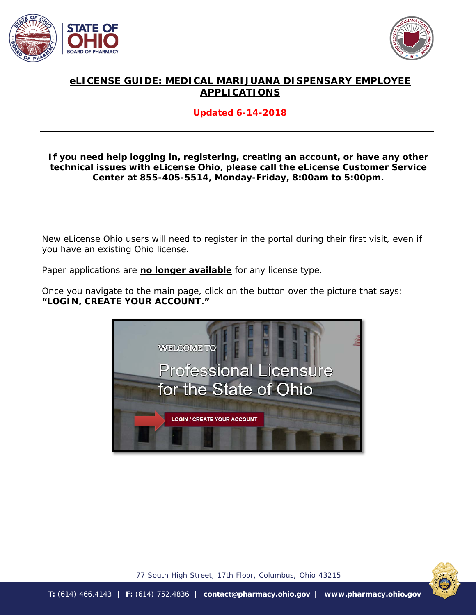



# **eLICENSE GUIDE: MEDICAL MARIJUANA DISPENSARY EMPLOYEE APPLICATIONS**

### **Updated 6-14-2018**

#### **If you need help logging in, registering, creating an account, or have any other technical issues with eLicense Ohio, please call the eLicense Customer Service Center at 855-405-5514, Monday-Friday, 8:00am to 5:00pm.**

New eLicense Ohio users will need to register in the portal during their first visit, even if you have an existing Ohio license.

Paper applications are **no longer available** for any license type.

Once you navigate to the main page, click on the button over the picture that says: **"LOGIN, CREATE YOUR ACCOUNT."**





77 South High Street, 17th Floor, Columbus, Ohio 43215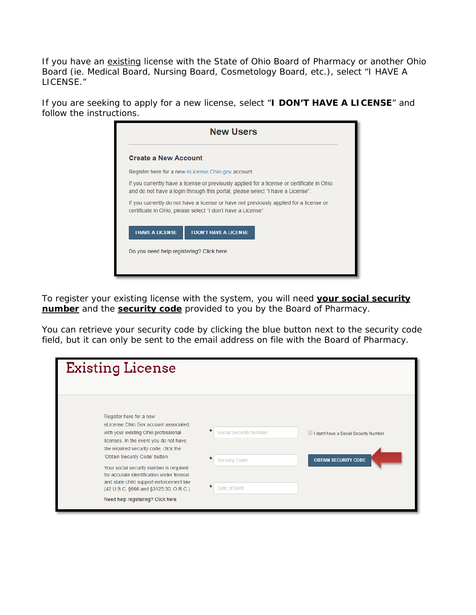If you have an existing license with the State of Ohio Board of Pharmacy or another Ohio Board (ie. Medical Board, Nursing Board, Cosmetology Board, etc.), select "I HAVE A LICENSE."

If you are seeking to apply for a new license, select "**I DON'T HAVE A LICENSE**" and follow the instructions.

| <b>Create a New Account</b> |                                                                                                                                                                              |
|-----------------------------|------------------------------------------------------------------------------------------------------------------------------------------------------------------------------|
|                             | Register here for a new eLicense. Ohio.gov account.                                                                                                                          |
|                             | If you currently have a license or previously applied for a license or certificate in Ohio<br>and do not have a login through this portal, please select "I have a License". |
|                             | If you currently do not have a license or have not previously applied for a license or<br>certificate in Ohio, please select "I don't have a License".                       |
| <b>I HAVE A LICENSE</b>     | <b>I DON'T HAVE A LICENSE</b>                                                                                                                                                |
|                             |                                                                                                                                                                              |

To register your existing license with the system, you will need **your social security number** and the **security code** provided to you by the Board of Pharmacy.

You can retrieve your security code by clicking the blue button next to the security code field, but it can only be sent to the email address on file with the Board of Pharmacy.

| <b>Existing License</b>                                                                                                                                                                                                                                                                                                                                                                                                                       |                                                                                                                                                               |
|-----------------------------------------------------------------------------------------------------------------------------------------------------------------------------------------------------------------------------------------------------------------------------------------------------------------------------------------------------------------------------------------------------------------------------------------------|---------------------------------------------------------------------------------------------------------------------------------------------------------------|
| Register here for a new<br>eLicense.Ohio.Gov account associated<br>with your existing Ohio professional<br>licenses. In the event you do not have<br>the required security code, click the<br>'Obtain Security Code' button.<br>Your social security number is required<br>for accurate identification under federal<br>and state child support enforcement law<br>(42 U.S.C. §666 and §3123.50, O.R.C.)<br>Need help registering? Click here | *<br><b>Social Security Number</b><br>I don't have a Social Security Number<br>*<br><b>Security Code</b><br><b>OBTAIN SECURITY CODE</b><br>*<br>Date of Birth |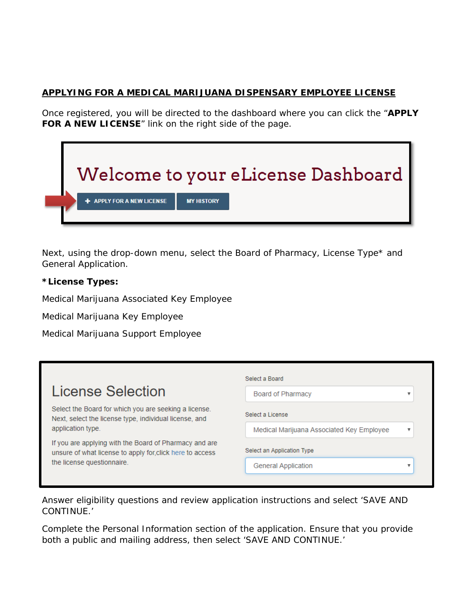## **APPLYING FOR A MEDICAL MARIJUANA DISPENSARY EMPLOYEE LICENSE**

Once registered, you will be directed to the dashboard where you can click the "**APPLY FOR A NEW LICENSE**" link on the right side of the page.



Next, using the drop-down menu, select the Board of Pharmacy, License Type\* and General Application.

#### **\*License Types:**

Medical Marijuana Associated Key Employee

Medical Marijuana Key Employee

Medical Marijuana Support Employee

|                                                                                                                     | Select a Board                            |  |  |
|---------------------------------------------------------------------------------------------------------------------|-------------------------------------------|--|--|
| License Selection                                                                                                   | <b>Board of Pharmacy</b>                  |  |  |
| Select the Board for which you are seeking a license.<br>Next, select the license type, individual license, and     | Select a License                          |  |  |
| application type.                                                                                                   | Medical Marijuana Associated Key Employee |  |  |
| If you are applying with the Board of Pharmacy and are<br>unsure of what license to apply for, click here to access | Select an Application Type                |  |  |
| the license questionnaire.                                                                                          | <b>General Application</b>                |  |  |

Answer eligibility questions and review application instructions and select 'SAVE AND CONTINUE.'

Complete the Personal Information section of the application. Ensure that you provide both a public and mailing address, then select 'SAVE AND CONTINUE.'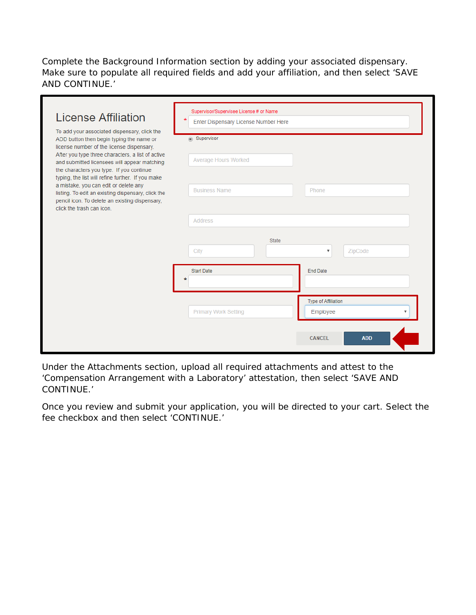Complete the Background Information section by adding your associated dispensary. Make sure to populate all required fields and add your affiliation, and then select 'SAVE AND CONTINUE.'

| License Affiliation<br>To add your associated dispensary, click the                                                                                                                                                                    | Supervisor/Supervisee License # or Name<br>$\star$<br>Enter Dispensary License Number Here |                         |
|----------------------------------------------------------------------------------------------------------------------------------------------------------------------------------------------------------------------------------------|--------------------------------------------------------------------------------------------|-------------------------|
| ADD button then begin typing the name or<br>license number of the license dispensary.<br>After you type three characters, a list of active<br>and submitted licensees will appear matching<br>the characters you type. If you continue | supervisor<br><b>Average Hours Worked</b>                                                  |                         |
| typing, the list will refine further. If you make<br>a mistake, you can edit or delete any<br>listing. To edit an existing dispensary, click the<br>pencil icon. To delete an existing dispensary,<br>click the trash can icon.        | <b>Business Name</b><br>Phone                                                              |                         |
|                                                                                                                                                                                                                                        | <b>Address</b>                                                                             |                         |
|                                                                                                                                                                                                                                        | State<br>City<br>ZipCode<br>$\boldsymbol{\mathrm{v}}$                                      |                         |
|                                                                                                                                                                                                                                        | <b>Start Date</b><br><b>End Date</b>                                                       |                         |
|                                                                                                                                                                                                                                        | Type of Affiliation<br><b>Primary Work Setting</b><br>Employee                             | $\overline{\mathbf{v}}$ |
|                                                                                                                                                                                                                                        | <b>CANCEL</b>                                                                              | <b>ADD</b>              |

Under the Attachments section, upload all required attachments and attest to the 'Compensation Arrangement with a Laboratory' attestation, then select 'SAVE AND CONTINUE.'

Once you review and submit your application, you will be directed to your cart. Select the fee checkbox and then select 'CONTINUE.'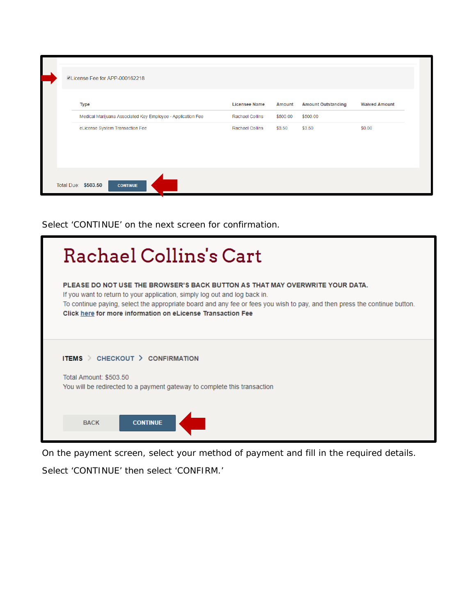| License Fee for APP-000162218                               |                        |               |                           |                      |
|-------------------------------------------------------------|------------------------|---------------|---------------------------|----------------------|
| <b>Type</b>                                                 | <b>Licensee Name</b>   | <b>Amount</b> | <b>Amount Outstanding</b> | <b>Waived Amount</b> |
| Medical Marijuana Associated Key Employee - Application Fee | <b>Rachael Collins</b> | \$500.00      | \$500.00                  |                      |
| eLicense System Transaction Fee                             | <b>Rachael Collins</b> | \$3.50        | \$3.50                    | \$0.00               |
| Total Due: \$503.50<br><b>CONTINUE</b>                      |                        |               |                           |                      |

Select 'CONTINUE' on the next screen for confirmation.

| Rachael Collins's Cart                                                                                                                                                                                                                                                                                                                                 |
|--------------------------------------------------------------------------------------------------------------------------------------------------------------------------------------------------------------------------------------------------------------------------------------------------------------------------------------------------------|
| PLEASE DO NOT USE THE BROWSER'S BACK BUTTON AS THAT MAY OVERWRITE YOUR DATA.<br>If you want to return to your application, simply log out and log back in.<br>To continue paying, select the appropriate board and any fee or fees you wish to pay, and then press the continue button.<br>Click here for more information on eLicense Transaction Fee |
| ITEMS $\ge$ CHECKOUT $\ge$ CONFIRMATION<br>Total Amount: \$503.50<br>You will be redirected to a payment gateway to complete this transaction                                                                                                                                                                                                          |
| <b>CONTINUE</b><br><b>BACK</b>                                                                                                                                                                                                                                                                                                                         |

On the payment screen, select your method of payment and fill in the required details.

Select 'CONTINUE' then select 'CONFIRM.'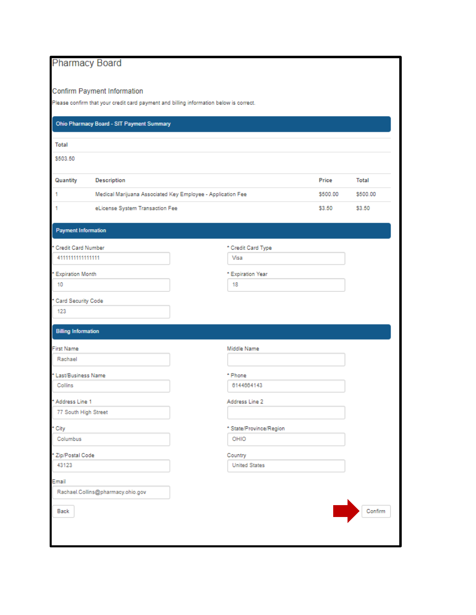# **Pharmacy Board**

#### **Confirm Payment Information**

Please confirm that your credit card payment and billing information below is correct.

| Ohio Pharmacy Board - SIT Payment Summary                              |                                                             |                                 |          |              |
|------------------------------------------------------------------------|-------------------------------------------------------------|---------------------------------|----------|--------------|
| <b>Total</b>                                                           |                                                             |                                 |          |              |
| \$503.50                                                               |                                                             |                                 |          |              |
| Quantity                                                               | Description                                                 |                                 | Price    | <b>Total</b> |
| 1                                                                      | Medical Marijuana Associated Key Employee - Application Fee |                                 | \$500.00 | \$500.00     |
| 1                                                                      | eLicense System Transaction Fee                             |                                 | \$3.50   | \$3.50       |
| <b>Payment Information</b>                                             |                                                             |                                 |          |              |
| Credit Card Number                                                     |                                                             | * Credit Card Type              |          |              |
| 4111111111111111                                                       |                                                             | Visa                            |          |              |
| <b>Expiration Month</b>                                                |                                                             | * Expiration Year               |          |              |
| 10                                                                     |                                                             | 18                              |          |              |
| Card Security Code                                                     |                                                             |                                 |          |              |
| 123                                                                    |                                                             |                                 |          |              |
|                                                                        |                                                             |                                 |          |              |
| <b>Billing Information</b>                                             |                                                             |                                 |          |              |
| <b>First Name</b>                                                      |                                                             |                                 |          |              |
|                                                                        |                                                             | Middle Name                     |          |              |
| Rachael                                                                |                                                             |                                 |          |              |
|                                                                        |                                                             | * Phone                         |          |              |
| Collins                                                                |                                                             | 6144664143                      |          |              |
|                                                                        |                                                             | Address Line 2                  |          |              |
| 77 South High Street                                                   |                                                             |                                 |          |              |
|                                                                        |                                                             |                                 |          |              |
| City<br>Columbus                                                       |                                                             | * State/Province/Region<br>OHIO |          |              |
|                                                                        |                                                             |                                 |          |              |
| 43123                                                                  |                                                             | Country<br><b>United States</b> |          |              |
|                                                                        |                                                             |                                 |          |              |
| * Last/Business Name<br>* Address Line 1<br>* Zip/Postal Code<br>Email | Rachael.Collins@pharmacy.ohio.gov                           |                                 |          |              |
|                                                                        |                                                             |                                 |          |              |